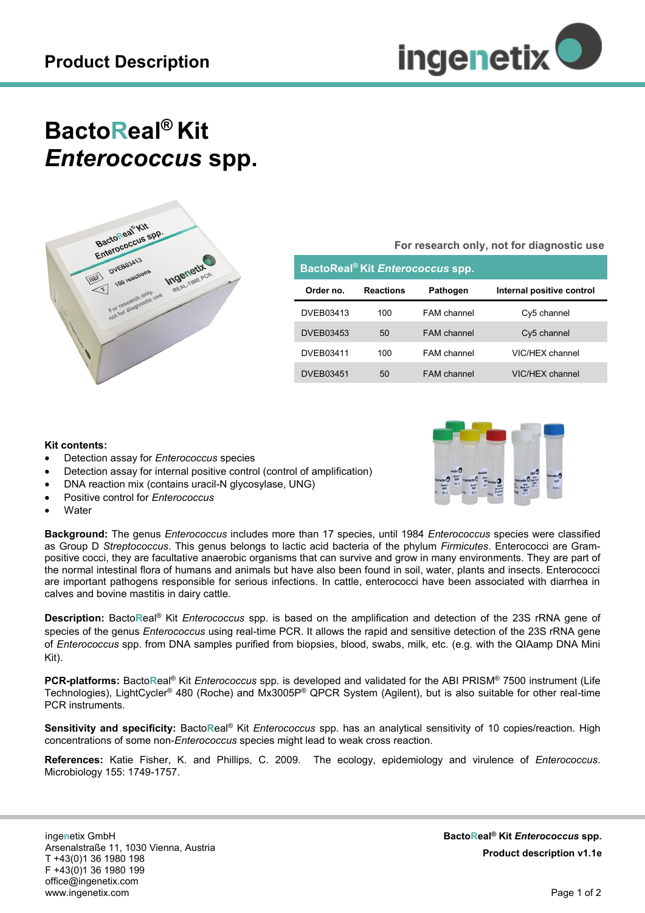

## **BactoReal® Kit** *Enterococcus* **spp.**



**For research only, not for diagnostic use**

| BactoReal <sup>®</sup> Kit Enterococcus spp. |                  |                    |                           |
|----------------------------------------------|------------------|--------------------|---------------------------|
| Order no.                                    | <b>Reactions</b> | <b>Pathogen</b>    | Internal positive control |
| DVEB03413                                    | 100              | FAM channel        | Cy5 channel               |
| <b>DVEB03453</b>                             | $50^{\circ}$     | FAM channel        | Cy5 channel               |
| DVEB03411                                    | 100              | FAM channel        | VIC/HFX channel           |
| DVEB03451                                    | 50               | <b>FAM</b> channel | VIC/HFX channel           |

## **Kit contents:**

- Detection assay for *Enterococcus* species
- Detection assay for internal positive control (control of amplification)
- DNA reaction mix (contains uracil-N glycosylase, UNG)
- Positive control for *Enterococcus*
- **Water**

**Background:** The genus *Enterococcus* includes more than 17 species, until 1984 *Enterococcus* species were classified as Group D *Streptococcus*. This genus belongs to lactic acid bacteria of the phylum *Firmicutes*. Enterococci are Grampositive cocci, they are facultative anaerobic organisms that can survive and grow in many environments. They are part of the normal intestinal flora of humans and animals but have also been found in soil, water, plants and insects. Enterococci are important pathogens responsible for serious infections. In cattle, enterococci have been associated with diarrhea in calves and bovine mastitis in dairy cattle.

**Description:** Bacto**R**eal® Kit *Enterococcus* spp. is based on the amplification and detection of the 23S rRNA gene of species of the genus *Enterococcus* using real-time PCR. It allows the rapid and sensitive detection of the 23S rRNA gene of *Enterococcus* spp. from DNA samples purified from biopsies, blood, swabs, milk, etc. (e.g. with the QIAamp DNA Mini Kit).

**PCR-platforms:** Bacto**R**eal® Kit *Enterococcus* spp. is developed and validated for the ABI PRISM® 7500 instrument (Life Technologies), LightCycler® 480 (Roche) and Mx3005P® QPCR System (Agilent), but is also suitable for other real-time PCR instruments.

**Sensitivity and specificity:** Bacto**R**eal® Kit *Enterococcus* spp. has an analytical sensitivity of 10 copies/reaction. High concentrations of some non-*Enterococcus* species might lead to weak cross reaction.

**References:** Katie Fisher, K. and Phillips, C. 2009. The ecology, epidemiology and virulence of *Enterococcus*. Microbiology 155: 1749-1757.